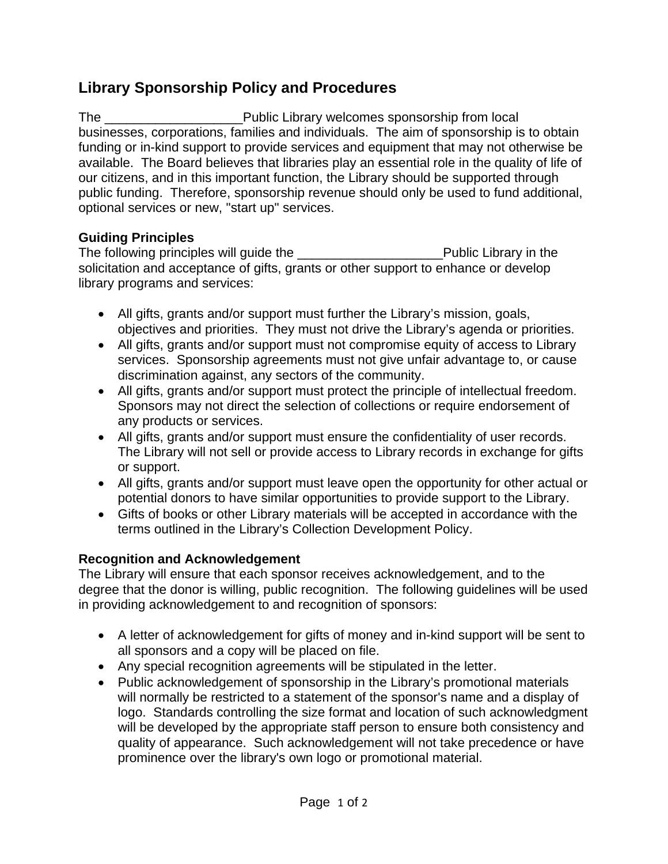# **Library Sponsorship Policy and Procedures**

The **The Eublic Library welcomes sponsorship from local** businesses, corporations, families and individuals. The aim of sponsorship is to obtain funding or in-kind support to provide services and equipment that may not otherwise be available. The Board believes that libraries play an essential role in the quality of life of our citizens, and in this important function, the Library should be supported through public funding. Therefore, sponsorship revenue should only be used to fund additional, optional services or new, "start up" services.

### **Guiding Principles**

The following principles will guide the \_\_\_\_\_\_\_\_\_\_\_\_\_\_\_\_\_\_\_\_\_\_\_\_\_\_\_\_\_\_\_Public Library in the solicitation and acceptance of gifts, grants or other support to enhance or develop library programs and services:

- All gifts, grants and/or support must further the Library's mission, goals, objectives and priorities. They must not drive the Library's agenda or priorities.
- All gifts, grants and/or support must not compromise equity of access to Library services. Sponsorship agreements must not give unfair advantage to, or cause discrimination against, any sectors of the community.
- All gifts, grants and/or support must protect the principle of intellectual freedom. Sponsors may not direct the selection of collections or require endorsement of any products or services.
- All gifts, grants and/or support must ensure the confidentiality of user records. The Library will not sell or provide access to Library records in exchange for gifts or support.
- All gifts, grants and/or support must leave open the opportunity for other actual or potential donors to have similar opportunities to provide support to the Library.
- Gifts of books or other Library materials will be accepted in accordance with the terms outlined in the Library's Collection Development Policy.

### **Recognition and Acknowledgement**

The Library will ensure that each sponsor receives acknowledgement, and to the degree that the donor is willing, public recognition. The following guidelines will be used in providing acknowledgement to and recognition of sponsors:

- A letter of acknowledgement for gifts of money and in-kind support will be sent to all sponsors and a copy will be placed on file.
- Any special recognition agreements will be stipulated in the letter.
- Public acknowledgement of sponsorship in the Library's promotional materials will normally be restricted to a statement of the sponsor's name and a display of logo. Standards controlling the size format and location of such acknowledgment will be developed by the appropriate staff person to ensure both consistency and quality of appearance. Such acknowledgement will not take precedence or have prominence over the library's own logo or promotional material.